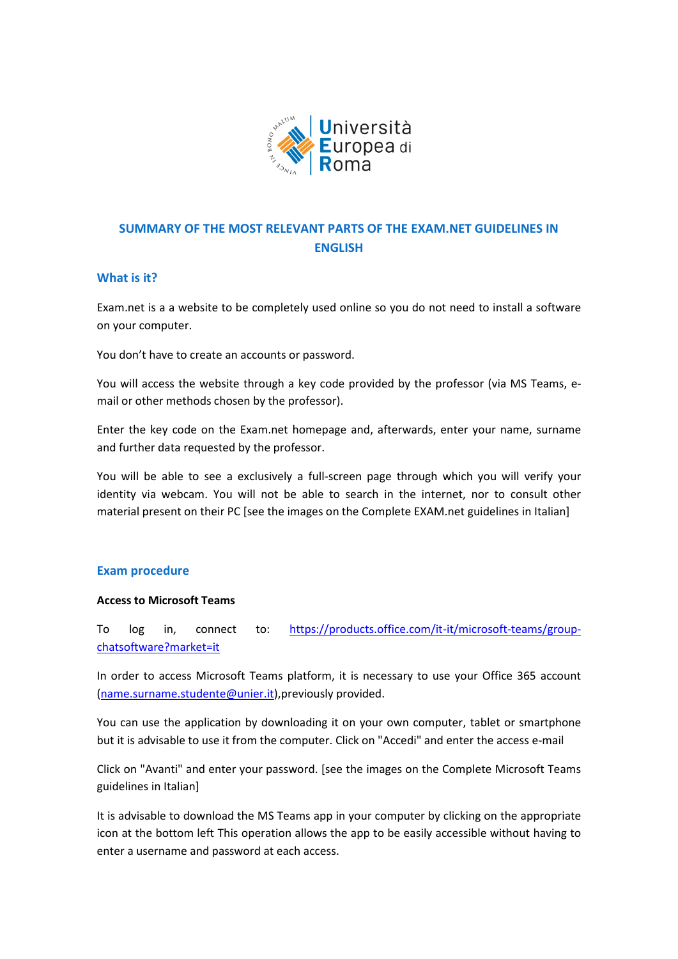

# **SUMMARY OF THE MOST RELEVANT PARTS OF THE EXAM.NET GUIDELINES IN ENGLISH**

# **What is it?**

Exam.net is a a website to be completely used online so you do not need to install a software on your computer.

You don't have to create an accounts or password.

You will access the website through a key code provided by the professor (via MS Teams, email or other methods chosen by the professor).

Enter the key code on the Exam.net homepage and, afterwards, enter your name, surname and further data requested by the professor.

You will be able to see a exclusively a full-screen page through which you will verify your identity via webcam. You will not be able to search in the internet, nor to consult other material present on their PC [see the images on the Complete EXAM.net guidelines in Italian]

# **Exam procedure**

#### **Access to Microsoft Teams**

To log in, connect to: [https://products.office.com/it-it/microsoft-teams/group](https://products.office.com/it-it/microsoft-teams/group-chatsoftware?market=it)[chatsoftware?market=it](https://products.office.com/it-it/microsoft-teams/group-chatsoftware?market=it)

In order to access Microsoft Teams platform, it is necessary to use your Office 365 account [\(name.surname.studente@unier.it\)](mailto:name.surname.studente@unier.it),previously provided.

You can use the application by downloading it on your own computer, tablet or smartphone but it is advisable to use it from the computer. Click on "Accedi" and enter the access e-mail

Click on "Avanti" and enter your password. [see the images on the Complete Microsoft Teams guidelines in Italian]

It is advisable to download the MS Teams app in your computer by clicking on the appropriate icon at the bottom left This operation allows the app to be easily accessible without having to enter a username and password at each access.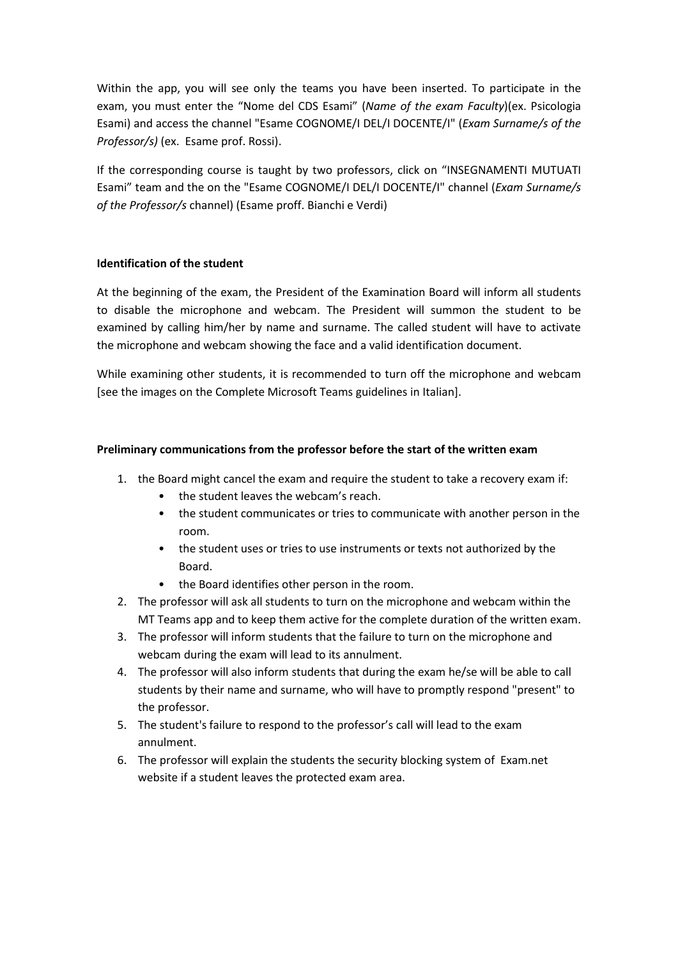Within the app, you will see only the teams you have been inserted. To participate in the exam, you must enter the "Nome del CDS Esami" (*Name of the exam Faculty*)(ex. Psicologia Esami) and access the channel "Esame COGNOME/I DEL/I DOCENTE/I" (*Exam Surname/s of the Professor/s)* (ex. Esame prof. Rossi).

If the corresponding course is taught by two professors, click on "INSEGNAMENTI MUTUATI Esami" team and the on the "Esame COGNOME/I DEL/I DOCENTE/I" channel (*Exam Surname/s of the Professor/s* channel) (Esame proff. Bianchi e Verdi)

# **Identification of the student**

At the beginning of the exam, the President of the Examination Board will inform all students to disable the microphone and webcam. The President will summon the student to be examined by calling him/her by name and surname. The called student will have to activate the microphone and webcam showing the face and a valid identification document.

While examining other students, it is recommended to turn off the microphone and webcam [see the images on the Complete Microsoft Teams guidelines in Italian].

# **Preliminary communications from the professor before the start of the written exam**

- 1. the Board might cancel the exam and require the student to take a recovery exam if:
	- the student leaves the webcam's reach.
	- the student communicates or tries to communicate with another person in the room.
	- the student uses or tries to use instruments or texts not authorized by the Board.
	- the Board identifies other person in the room.
- 2. The professor will ask all students to turn on the microphone and webcam within the MT Teams app and to keep them active for the complete duration of the written exam.
- 3. The professor will inform students that the failure to turn on the microphone and webcam during the exam will lead to its annulment.
- 4. The professor will also inform students that during the exam he/se will be able to call students by their name and surname, who will have to promptly respond "present" to the professor.
- 5. The student's failure to respond to the professor's call will lead to the exam annulment.
- 6. The professor will explain the students the security blocking system of Exam.net website if a student leaves the protected exam area.